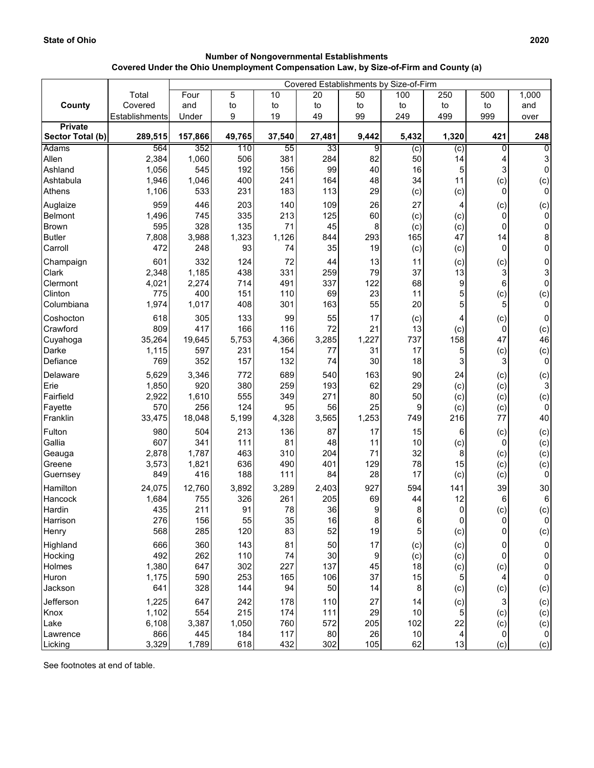## **Number of Nongovernmental Establishments Covered Under the Ohio Unemployment Compensation Law, by Size-of-Firm and County (a)**

|                  |                | Covered Establishments by Size-of-Firm |        |        |        |              |                |              |     |                |
|------------------|----------------|----------------------------------------|--------|--------|--------|--------------|----------------|--------------|-----|----------------|
|                  | Total          | Four                                   | 5      | 10     | 20     | 50           | 100            | 250          | 500 | 1,000          |
| County           | Covered        | and                                    | to     | to     | to     | to           | to             | to           | to  | and            |
|                  | Establishments | Under                                  | 9      | 19     | 49     | 99           | 249            | 499          | 999 | over           |
| <b>Private</b>   |                |                                        |        |        |        |              |                |              |     |                |
| Sector Total (b) | 289,515        | 157,866                                | 49,765 | 37,540 | 27,481 | 9,442        | 5,432          | 1,320        | 421 | 248            |
| <b>Adams</b>     | 564            | 352                                    | 110    | 55     | 33     | 9            | $\overline{c}$ | (c)          | 0   | 0              |
| Allen            | 2,384          | 1,060                                  | 506    | 381    | 284    | 82           | 50             | 14           | 4   | 3              |
| Ashland          | 1,056          | 545                                    | 192    | 156    | 99     | 40           | 16             | 5            | 3   | $\overline{0}$ |
| Ashtabula        | 1,946          | 1,046                                  | 400    | 241    | 164    | 48           | 34             | 11           | (c) | (c)            |
| Athens           | 1,106          | 533                                    | 231    | 183    | 113    | 29           | (c)            | (c)          | 0   | $\overline{0}$ |
| Auglaize         | 959            | 446                                    | 203    | 140    | 109    | 26           | 27             | 4            | (c) | (c)            |
| Belmont          | 1,496          | 745                                    | 335    | 213    | 125    | 60           | (c)            | (c)          | 0   | $\overline{0}$ |
| Brown            | 595            | 328                                    | 135    | 71     | 45     | 8            | (c)            | (c)          | 0   | $\pmb{0}$      |
| <b>Butler</b>    | 7,808          | 3,988                                  | 1,323  | 1,126  | 844    | 293          | 165            | 47           | 14  | 8              |
| Carroll          | 472            | 248                                    | 93     | 74     | 35     | 19           | (c)            | (c)          | 0   | 0              |
| Champaign        | 601            | 332                                    | 124    | 72     | 44     | 13           | 11             | (c)          | (c) | 0              |
| Clark            | 2,348          | 1,185                                  | 438    | 331    | 259    | 79           | 37             | 13           | 3   | 3              |
| Clermont         | 4,021          | 2,274                                  | 714    | 491    | 337    | 122          | 68             | 9            | 6   | 0              |
| Clinton          | 775            | 400                                    | 151    | 110    | 69     | 23           | 11             | 5            | (c) | (c)            |
| Columbiana       | 1,974          | 1,017                                  | 408    | 301    | 163    | 55           | 20             | 5            | 5   | $\overline{0}$ |
| Coshocton        | 618            | 305                                    | 133    | 99     | 55     | 17           | (c)            | 4            | (c) | $\pmb{0}$      |
| Crawford         | 809            | 417                                    | 166    | 116    | 72     | 21           | 13             | (c)          | 0   | (c)            |
| Cuyahoga         | 35,264         | 19,645                                 | 5,753  | 4,366  | 3,285  | 1,227        | 737            | 158          | 47  | 46             |
| Darke            | 1,115          | 597                                    | 231    | 154    | 77     | 31           | 17             | 5            | (c) | (c)            |
| Defiance         | 769            | 352                                    | 157    | 132    | 74     | 30           | 18             | 3            | 3   | $\overline{0}$ |
| Delaware         | 5,629          | 3,346                                  | 772    | 689    | 540    | 163          | 90             | 24           | (c) | (c)            |
| Erie             | 1,850          | 920                                    | 380    | 259    | 193    | 62           | 29             | (c)          | (c) | 3 <sup>1</sup> |
| Fairfield        | 2,922          | 1,610                                  | 555    | 349    | 271    | 80           | 50             | (c)          | (c) | (c)            |
| Fayette          | 570            | 256                                    | 124    | 95     | 56     | 25           | 9              | (c)          | (c) | $\overline{0}$ |
| Franklin         | 33,475         | 18,048                                 | 5,199  | 4,328  | 3,565  | 1,253        | 749            | 216          | 77  | 40             |
| Fulton           | 980            | 504                                    | 213    | 136    | 87     | 17           | 15             | 6            | (c) | (c)            |
| Gallia           | 607            | 341                                    | 111    | 81     | 48     | 11           | 10             | (c)          | 0   | (c)            |
| Geauga           | 2,878          | 1,787                                  | 463    | 310    | 204    | 71           | 32             | 8            | (c) | (c)            |
| Greene           | 3,573          | 1,821                                  | 636    | 490    | 401    | 129          | 78             | 15           | (c) | (c)            |
| Guernsey         | 849            | 416                                    | 188    | 111    | 84     | 28           | 17             | (c)          | (c) | $\mathbf 0$    |
| Hamilton         | 24,075         | 12,760                                 | 3,892  | 3,289  | 2,403  | 927          | 594            | 141          | 39  | 30             |
| Hancock          | 1,684          | 755                                    | 326    | 261    | 205    | 69           | 44             | 12           | 6   | 6 <sup>1</sup> |
| Hardin           | 435            | 211                                    | 91     | 78     | 36     | $\mathbf{Q}$ | 8              | $\mathbf{0}$ | (c) | (c)            |
| Harrison         | 276            | 156                                    | 55     | 35     | 16     | 8            | 6              | 0            | 0   | $\overline{0}$ |
| Henry            | 568            | 285                                    | 120    | 83     | 52     | 19           | 5              | (c)          | 0   | (c)            |
| Highland         | 666            | 360                                    | 143    | 81     | 50     | 17           | (c)            | (c)          | 0   | $\overline{0}$ |
| Hocking          | 492            | 262                                    | 110    | 74     | 30     | 9            | (c)            | (c)          | 0   | 0              |
| Holmes           | 1,380          | 647                                    | 302    | 227    | 137    | 45           | 18             | (c)          | (c) | $\overline{0}$ |
| Huron            | 1,175          | 590                                    | 253    | 165    | 106    | 37           | 15             | 5            | 4   | $\overline{0}$ |
| Jackson          | 641            | 328                                    | 144    | 94     | 50     | 14           | 8              | (c)          | (c) | (c)            |
| Jefferson        | 1,225          | 647                                    | 242    | 178    | 110    | 27           | 14             | (c)          | 3   | (c)            |
| Knox             | 1,102          | 554                                    | 215    | 174    | 111    | 29           | $10$           | 5            | (c) | (c)            |
| Lake             | 6,108          | 3,387                                  | 1,050  | 760    | 572    | 205          | 102            | 22           | (c) | (c)            |
| Lawrence         | 866            | 445                                    | 184    | 117    | 80     | 26           | $10$           | 4            | 0   | $\overline{0}$ |
| Licking          | 3,329          | 1,789                                  | 618    | 432    | 302    | 105          | 62             | 13           | (c) | (c)            |

See footnotes at end of table.